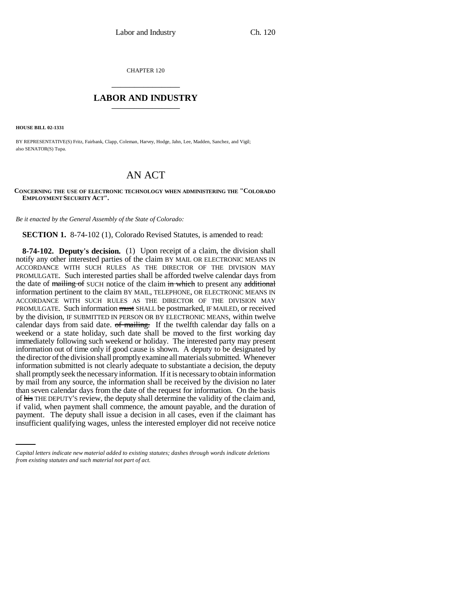CHAPTER 120 \_\_\_\_\_\_\_\_\_\_\_\_\_\_\_

## **LABOR AND INDUSTRY** \_\_\_\_\_\_\_\_\_\_\_\_\_\_\_

**HOUSE BILL 02-1331**

BY REPRESENTATIVE(S) Fritz, Fairbank, Clapp, Coleman, Harvey, Hodge, Jahn, Lee, Madden, Sanchez, and Vigil; also SENATOR(S) Tupa.

## AN ACT

## **CONCERNING THE USE OF ELECTRONIC TECHNOLOGY WHEN ADMINISTERING THE "COLORADO EMPLOYMENT SECURITY ACT".**

*Be it enacted by the General Assembly of the State of Colorado:*

**SECTION 1.** 8-74-102 (1), Colorado Revised Statutes, is amended to read:

if valid, when payment shall commence, the amount payable, and the duration of **8-74-102. Deputy's decision.** (1) Upon receipt of a claim, the division shall notify any other interested parties of the claim BY MAIL OR ELECTRONIC MEANS IN ACCORDANCE WITH SUCH RULES AS THE DIRECTOR OF THE DIVISION MAY PROMULGATE. Such interested parties shall be afforded twelve calendar days from the date of mailing of SUCH notice of the claim in which to present any additional information pertinent to the claim BY MAIL, TELEPHONE, OR ELECTRONIC MEANS IN ACCORDANCE WITH SUCH RULES AS THE DIRECTOR OF THE DIVISION MAY PROMULGATE. Such information must SHALL be postmarked, IF MAILED, or received by the division, IF SUBMITTED IN PERSON OR BY ELECTRONIC MEANS, within twelve calendar days from said date. of mailing. If the twelfth calendar day falls on a weekend or a state holiday, such date shall be moved to the first working day immediately following such weekend or holiday. The interested party may present information out of time only if good cause is shown. A deputy to be designated by the director of the division shall promptly examine all materials submitted. Whenever information submitted is not clearly adequate to substantiate a decision, the deputy shall promptly seek the necessary information. If it is necessary to obtain information by mail from any source, the information shall be received by the division no later than seven calendar days from the date of the request for information. On the basis of his THE DEPUTY'S review, the deputy shall determine the validity of the claim and, payment. The deputy shall issue a decision in all cases, even if the claimant has insufficient qualifying wages, unless the interested employer did not receive notice

*Capital letters indicate new material added to existing statutes; dashes through words indicate deletions from existing statutes and such material not part of act.*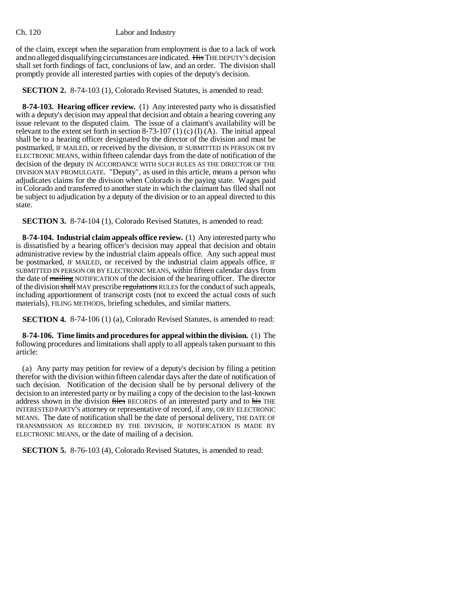of the claim, except when the separation from employment is due to a lack of work and no alleged disqualifying circumstances are indicated. His THE DEPUTY'S decision shall set forth findings of fact, conclusions of law, and an order. The division shall promptly provide all interested parties with copies of the deputy's decision.

**SECTION 2.** 8-74-103 (1), Colorado Revised Statutes, is amended to read:

**8-74-103. Hearing officer review.** (1) Any interested party who is dissatisfied with a deputy's decision may appeal that decision and obtain a hearing covering any issue relevant to the disputed claim. The issue of a claimant's availability will be relevant to the extent set forth in section 8-73-107 (1) (c) (I) (A). The initial appeal shall be to a hearing officer designated by the director of the division and must be postmarked, IF MAILED, or received by the division, IF SUBMITTED IN PERSON OR BY ELECTRONIC MEANS, within fifteen calendar days from the date of notification of the decision of the deputy IN ACCORDANCE WITH SUCH RULES AS THE DIRECTOR OF THE DIVISION MAY PROMULGATE. "Deputy", as used in this article, means a person who adjudicates claims for the division when Colorado is the paying state. Wages paid in Colorado and transferred to another state in which the claimant has filed shall not be subject to adjudication by a deputy of the division or to an appeal directed to this state.

**SECTION 3.** 8-74-104 (1), Colorado Revised Statutes, is amended to read:

**8-74-104. Industrial claim appeals office review.** (1) Any interested party who is dissatisfied by a hearing officer's decision may appeal that decision and obtain administrative review by the industrial claim appeals office. Any such appeal must be postmarked, IF MAILED, or received by the industrial claim appeals office, IF SUBMITTED IN PERSON OR BY ELECTRONIC MEANS, within fifteen calendar days from the date of mailing NOTIFICATION of the decision of the hearing officer. The director of the division shall MAY prescribe regulations RULES for the conduct of such appeals, including apportionment of transcript costs (not to exceed the actual costs of such materials), FILING METHODS, briefing schedules, and similar matters.

**SECTION 4.** 8-74-106 (1) (a), Colorado Revised Statutes, is amended to read:

**8-74-106. Time limits and procedures for appeal within the division.** (1) The following procedures and limitations shall apply to all appeals taken pursuant to this article:

(a) Any party may petition for review of a deputy's decision by filing a petition therefor with the division within fifteen calendar days after the date of notification of such decision. Notification of the decision shall be by personal delivery of the decision to an interested party or by mailing a copy of the decision to the last-known address shown in the division files RECORDS of an interested party and to his THE INTERESTED PARTY'S attorney or representative of record, if any, OR BY ELECTRONIC MEANS. The date of notification shall be the date of personal delivery, THE DATE OF TRANSMISSION AS RECORDED BY THE DIVISION, IF NOTIFICATION IS MADE BY ELECTRONIC MEANS, or the date of mailing of a decision.

**SECTION 5.** 8-76-103 (4), Colorado Revised Statutes, is amended to read: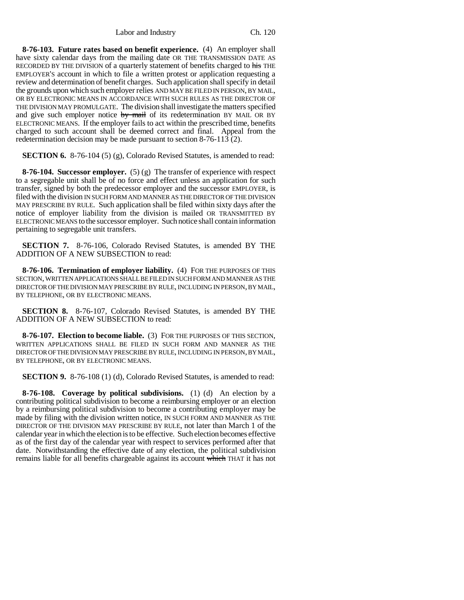Labor and Industry Ch. 120

**8-76-103. Future rates based on benefit experience.** (4) An employer shall have sixty calendar days from the mailing date OR THE TRANSMISSION DATE AS RECORDED BY THE DIVISION of a quarterly statement of benefits charged to his THE EMPLOYER'S account in which to file a written protest or application requesting a review and determination of benefit charges. Such application shall specify in detail the grounds upon which such employer relies AND MAY BE FILED IN PERSON, BY MAIL, OR BY ELECTRONIC MEANS IN ACCORDANCE WITH SUCH RULES AS THE DIRECTOR OF THE DIVISION MAY PROMULGATE. The division shall investigate the matters specified and give such employer notice  $\frac{dy}{dx}$  mail of its redetermination BY MAIL OR BY ELECTRONIC MEANS. If the employer fails to act within the prescribed time, benefits charged to such account shall be deemed correct and final. Appeal from the redetermination decision may be made pursuant to section 8-76-113 (2).

**SECTION 6.** 8-76-104 (5) (g), Colorado Revised Statutes, is amended to read:

**8-76-104. Successor employer.** (5) (g) The transfer of experience with respect to a segregable unit shall be of no force and effect unless an application for such transfer, signed by both the predecessor employer and the successor EMPLOYER, is filed with the division IN SUCH FORM AND MANNER AS THE DIRECTOR OF THE DIVISION MAY PRESCRIBE BY RULE. Such application shall be filed within sixty days after the notice of employer liability from the division is mailed OR TRANSMITTED BY ELECTRONIC MEANS to the successor employer. Such notice shall contain information pertaining to segregable unit transfers.

**SECTION 7.** 8-76-106, Colorado Revised Statutes, is amended BY THE ADDITION OF A NEW SUBSECTION to read:

**8-76-106. Termination of employer liability.** (4) FOR THE PURPOSES OF THIS SECTION, WRITTEN APPLICATIONS SHALL BE FILED IN SUCH FORM AND MANNER AS THE DIRECTOR OF THE DIVISION MAY PRESCRIBE BY RULE, INCLUDING IN PERSON, BY MAIL, BY TELEPHONE, OR BY ELECTRONIC MEANS.

**SECTION 8.** 8-76-107, Colorado Revised Statutes, is amended BY THE ADDITION OF A NEW SUBSECTION to read:

**8-76-107. Election to become liable.** (3) FOR THE PURPOSES OF THIS SECTION, WRITTEN APPLICATIONS SHALL BE FILED IN SUCH FORM AND MANNER AS THE DIRECTOR OF THE DIVISION MAY PRESCRIBE BY RULE, INCLUDING IN PERSON, BY MAIL, BY TELEPHONE, OR BY ELECTRONIC MEANS.

**SECTION 9.** 8-76-108 (1) (d), Colorado Revised Statutes, is amended to read:

**8-76-108. Coverage by political subdivisions.** (1) (d) An election by a contributing political subdivision to become a reimbursing employer or an election by a reimbursing political subdivision to become a contributing employer may be made by filing with the division written notice, IN SUCH FORM AND MANNER AS THE DIRECTOR OF THE DIVISION MAY PRESCRIBE BY RULE, not later than March 1 of the calendar year in which the election is to be effective. Such election becomes effective as of the first day of the calendar year with respect to services performed after that date. Notwithstanding the effective date of any election, the political subdivision remains liable for all benefits chargeable against its account which THAT it has not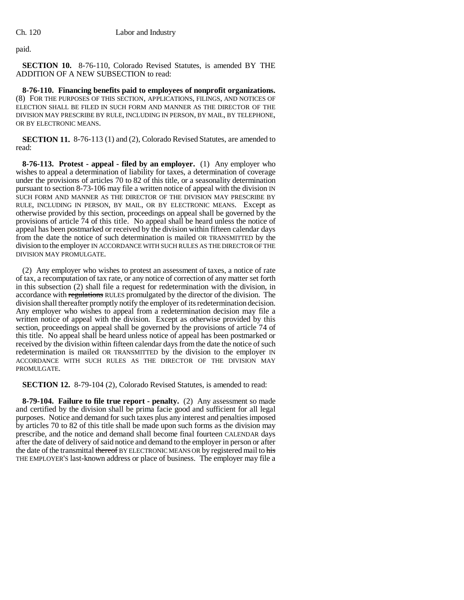paid.

**SECTION 10.** 8-76-110, Colorado Revised Statutes, is amended BY THE ADDITION OF A NEW SUBSECTION to read:

**8-76-110. Financing benefits paid to employees of nonprofit organizations.** (8) FOR THE PURPOSES OF THIS SECTION, APPLICATIONS, FILINGS, AND NOTICES OF ELECTION SHALL BE FILED IN SUCH FORM AND MANNER AS THE DIRECTOR OF THE DIVISION MAY PRESCRIBE BY RULE, INCLUDING IN PERSON, BY MAIL, BY TELEPHONE, OR BY ELECTRONIC MEANS.

**SECTION 11.** 8-76-113 (1) and (2), Colorado Revised Statutes, are amended to read:

**8-76-113. Protest - appeal - filed by an employer.** (1) Any employer who wishes to appeal a determination of liability for taxes, a determination of coverage under the provisions of articles 70 to 82 of this title, or a seasonality determination pursuant to section 8-73-106 may file a written notice of appeal with the division IN SUCH FORM AND MANNER AS THE DIRECTOR OF THE DIVISION MAY PRESCRIBE BY RULE, INCLUDING IN PERSON, BY MAIL, OR BY ELECTRONIC MEANS. Except as otherwise provided by this section, proceedings on appeal shall be governed by the provisions of article 74 of this title. No appeal shall be heard unless the notice of appeal has been postmarked or received by the division within fifteen calendar days from the date the notice of such determination is mailed OR TRANSMITTED by the division to the employer IN ACCORDANCE WITH SUCH RULES AS THE DIRECTOR OF THE DIVISION MAY PROMULGATE.

(2) Any employer who wishes to protest an assessment of taxes, a notice of rate of tax, a recomputation of tax rate, or any notice of correction of any matter set forth in this subsection (2) shall file a request for redetermination with the division, in accordance with regulations RULES promulgated by the director of the division. The division shall thereafter promptly notify the employer of its redetermination decision. Any employer who wishes to appeal from a redetermination decision may file a written notice of appeal with the division. Except as otherwise provided by this section, proceedings on appeal shall be governed by the provisions of article 74 of this title. No appeal shall be heard unless notice of appeal has been postmarked or received by the division within fifteen calendar days from the date the notice of such redetermination is mailed OR TRANSMITTED by the division to the employer IN ACCORDANCE WITH SUCH RULES AS THE DIRECTOR OF THE DIVISION MAY PROMULGATE.

**SECTION 12.** 8-79-104 (2), Colorado Revised Statutes, is amended to read:

**8-79-104. Failure to file true report - penalty.** (2) Any assessment so made and certified by the division shall be prima facie good and sufficient for all legal purposes. Notice and demand for such taxes plus any interest and penalties imposed by articles 70 to 82 of this title shall be made upon such forms as the division may prescribe, and the notice and demand shall become final fourteen CALENDAR days after the date of delivery of said notice and demand to the employer in person or after the date of the transmittal thereof BY ELECTRONIC MEANS OR by registered mail to his THE EMPLOYER'S last-known address or place of business. The employer may file a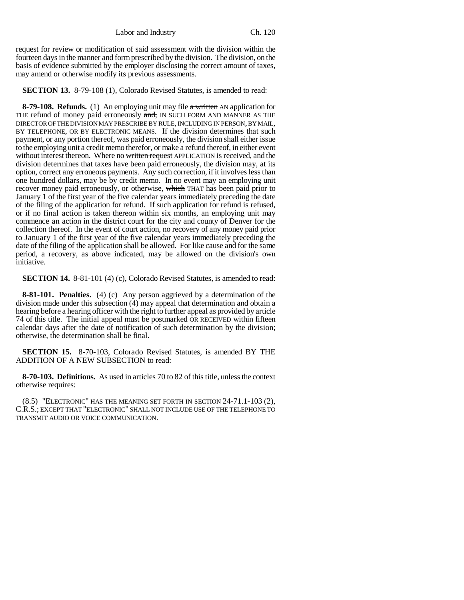Labor and Industry Ch. 120

request for review or modification of said assessment with the division within the fourteen days in the manner and form prescribed by the division. The division, on the basis of evidence submitted by the employer disclosing the correct amount of taxes, may amend or otherwise modify its previous assessments.

**SECTION 13.** 8-79-108 (1), Colorado Revised Statutes, is amended to read:

**8-79-108. Refunds.** (1) An employing unit may file a written AN application for THE refund of money paid erroneously and, IN SUCH FORM AND MANNER AS THE DIRECTOR OF THE DIVISION MAY PRESCRIBE BY RULE, INCLUDING IN PERSON, BY MAIL, BY TELEPHONE, OR BY ELECTRONIC MEANS. If the division determines that such payment, or any portion thereof, was paid erroneously, the division shall either issue to the employing unit a credit memo therefor, or make a refund thereof, in either event without interest thereon. Where no written request APPLICATION is received, and the division determines that taxes have been paid erroneously, the division may, at its option, correct any erroneous payments. Any such correction, if it involves less than one hundred dollars, may be by credit memo. In no event may an employing unit recover money paid erroneously, or otherwise, which THAT has been paid prior to January 1 of the first year of the five calendar years immediately preceding the date of the filing of the application for refund. If such application for refund is refused, or if no final action is taken thereon within six months, an employing unit may commence an action in the district court for the city and county of Denver for the collection thereof. In the event of court action, no recovery of any money paid prior to January 1 of the first year of the five calendar years immediately preceding the date of the filing of the application shall be allowed. For like cause and for the same period, a recovery, as above indicated, may be allowed on the division's own initiative.

**SECTION 14.** 8-81-101 (4) (c), Colorado Revised Statutes, is amended to read:

**8-81-101. Penalties.** (4) (c) Any person aggrieved by a determination of the division made under this subsection (4) may appeal that determination and obtain a hearing before a hearing officer with the right to further appeal as provided by article 74 of this title. The initial appeal must be postmarked OR RECEIVED within fifteen calendar days after the date of notification of such determination by the division; otherwise, the determination shall be final.

**SECTION 15.** 8-70-103, Colorado Revised Statutes, is amended BY THE ADDITION OF A NEW SUBSECTION to read:

**8-70-103. Definitions.** As used in articles 70 to 82 of this title, unless the context otherwise requires:

(8.5) "ELECTRONIC" HAS THE MEANING SET FORTH IN SECTION 24-71.1-103 (2), C.R.S.; EXCEPT THAT "ELECTRONIC" SHALL NOT INCLUDE USE OF THE TELEPHONE TO TRANSMIT AUDIO OR VOICE COMMUNICATION.